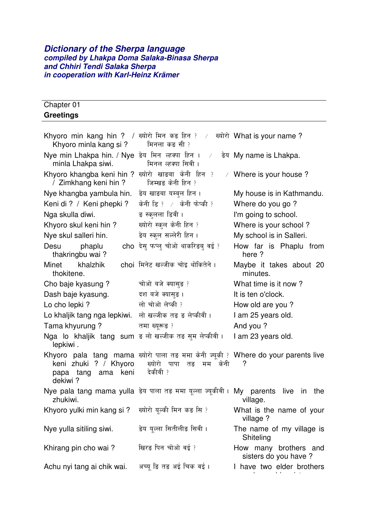#### *Dictionary of the Sherpa language compiled by Lhakpa Doma Salaka-Binasa Sherpa and Chhiri Tendi Salaka Sherpa in cooperation with Karl-Heinz Krämer*

| Chapter 01       |  |  |
|------------------|--|--|
| <b>Greetings</b> |  |  |

| Khyoro min kang hin ? / ख्योरो मिन कड़ हिन ? /<br>Khyoro minla kang si?    | मिनला कङ सी ?                                                                                                               | ख्योरो What is your name ?                     |
|----------------------------------------------------------------------------|-----------------------------------------------------------------------------------------------------------------------------|------------------------------------------------|
| Nye min Lhakpa hin. / Nye डेय मिन ल्हक्पा हिन ।<br>minla Lhakpa siwi.      | $\sqrt{2}$<br>मिनल ल्हक्पा सिवी ।                                                                                           | डेय My name is Lhakpa.                         |
| Khyoro khangba keni hin ? ख्योरो खाड़बा केनी हिन ?<br>/ Zimkhang keni hin? | $\sqrt{2}$<br>जिम्खङ केनी हिन ?                                                                                             | Where is your house?                           |
| Nye khangba yambula hin.                                                   | ङेय खाङबा यम्बुल हिन ।                                                                                                      | My house is in Kathmandu.                      |
| Keni di ? / Keni phepki ?                                                  | केनी डि? $\angle$ केनी फेप्की ?                                                                                             | Where do you go?                               |
| Nga skulla diwi.                                                           | ङ स्कलला डिवी ।                                                                                                             | I'm going to school.                           |
| Khyoro skul keni hin?                                                      | ख्योरो स्कुल केनी हिन ?                                                                                                     | Where is your school?                          |
| Nye skul salleri hin.                                                      | डेय स्कुल सल्लेरी हिन ।                                                                                                     | My school is in Salleri.                       |
| phaplu<br>Desu<br>thakringbu wai?                                          | cho देस फप्ल चोओ थाकरिडब् वई ?                                                                                              | How far is Phaplu from<br>here?                |
| Minet<br>khalzhik<br>thokitene.                                            | choi मिनेट खल्जीक चोइ थोकितेने ।                                                                                            | Maybe it takes about 20<br>minutes.            |
| Cho baje kyasung?                                                          | चोओ बजे क्यासुङ ?                                                                                                           | What time is it now?                           |
| Dash baje kyasung.                                                         | दश बजे क्यासुङ ।                                                                                                            | It is ten o'clock.                             |
| Lo cho lepki?                                                              | लो चोओ लेप्की ?                                                                                                             | How old are you?                               |
| Lo khaljik tang nga lepkiwi.                                               | लो खल्जीक तङ ङ लेप्कीवी ।                                                                                                   | I am 25 years old.                             |
| Tama khyurung?                                                             | तमा ख्युरूड ?                                                                                                               | And you?                                       |
| Nga lo khaljik tang sum इ लो खल्जीक तड़ सुम लेप्कीवी।<br>lepkiwi.          |                                                                                                                             | I am 23 years old.                             |
| keni zhuki<br>? / Khyoro<br>ama keni<br>tang<br>papa<br>dekiwi?            | Khyoro pala tang mama ख्योरो पाला तड़ ममा केनी ज्यूकी ? Where do your parents live<br>ख्योरो पापा<br>तङ मम केनी<br>देकीवी ? | ?                                              |
| zhukiwi.                                                                   | Nye pala tang mama yulla डेय पाला तड़ ममा यूल्ला ज्यूकीवी। My parents                                                       | live<br>the<br>in<br>village.                  |
| Khyoro yulki min kang si ? ख्योरो यूल्की मिन कड़ सि ?                      |                                                                                                                             | What is the name of your<br>village ?          |
| Nye yulla sitiling siwi.                                                   | डेय युल्ला सितीलीड सिवी ।                                                                                                   | The name of my village is<br>Shiteling         |
| Khirang pin cho wai?                                                       | खिरङ पिन चोओ वई ?                                                                                                           | How many brothers and<br>sisters do you have ? |
| Achu nyi tang ai chik wai.                                                 | अच्यु ङि तङ अई चिक वई ।                                                                                                     | I have two elder brothers                      |

and one elder sister.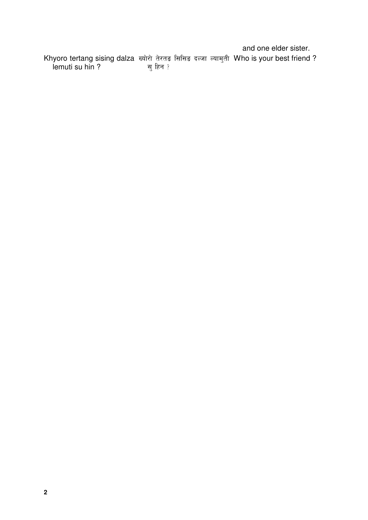and one elder sister.

Khyoro tertang sising dalza lemuti su hin ? ख्योरो तेरतङ सिसिङ दल्जा ल्यामुती <mark>'</mark> सु हिन ? Who is your best friend ?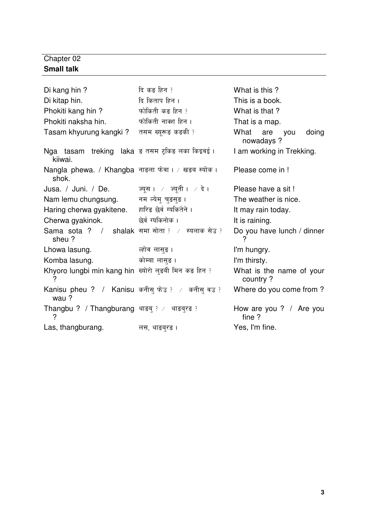### Chapter 02 **Small talk**

| Di kang hin?                                               | दि कङ हिन ?        | What is this ?                       |
|------------------------------------------------------------|--------------------|--------------------------------------|
| Di kitap hin.                                              | दि किताप हिन ।     | This is a book.                      |
| Phokiti kang hin?                                          | फोकिती कड़ हिन ?   | What is that ?                       |
| Phokiti naksha hin.                                        | फोकिती नाक्श हिन । | That is a map.                       |
| Tasam khyurung kangki?                                     | तसम ख्युरूङ कङकी ? | What are you<br>doing<br>nowadays ?  |
| Nga tasam treking laka ड तसम ट्किङ लका किइवई ।<br>kiiwai.  |                    | I am working in Trekking.            |
| Nangla phewa. / Khangba नाडला फेवा। / खड़ब स्योक।<br>shok. |                    | Please come in !                     |
| $J$ usa. / $J$ uni. / De. ज्यूस । / ज्यूनी । / दे ।        |                    | Please have a sit!                   |
| Nam lemu chungsung. नम ल्येमु चुडसुङ ।                     |                    | The weather is nice.                 |
| Haring cherwa gyakitene. हारिङ छेर्व ग्यकितेने ।           |                    | It may rain today.                   |
| Cherwa gyakinok.                                           | छेर्व ग्यकिनोक ।   | It is raining.                       |
| Sama sota ? / shalak समा सोता ? / स्यलाक सेउ ?<br>sheu?    |                    | Do you have lunch / dinner<br>?      |
| Lhowa lasung.                                              | ्लोव लासुङ ।       | I'm hungry.                          |
| Komba lasung.                                              | कोम्बा लासुङ ।     | I'm thirsty.                         |
| Khyoro lungbi min kang hin ख्योरो लुड़बी मिन कड़ हिन ?     |                    | What is the name of your<br>country? |
| Kanisu pheu ? / Kanisu कनीसु फेउ ? / कनीसु वउ ?<br>wau?    |                    | Where do you come from?              |
| Thangbu ? / Thangburang थाङबु ? ⁄ थाङबुरङ ?<br>?           |                    | How are you ? / Are you<br>fine?     |
| Las, thangburang.                                          | लस, थाङब्रङ ।      | Yes, I'm fine.                       |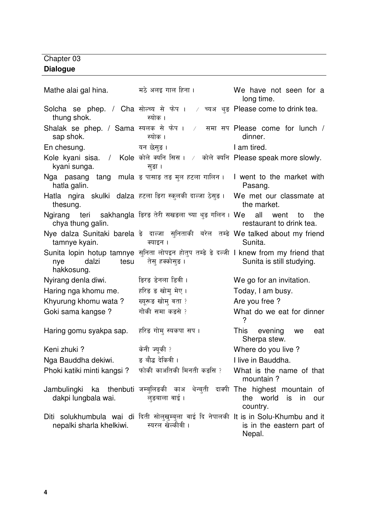#### Chapter 03 **Dialogue**

Mathe alai gal hina. The अलइ गाल हिना। The Me have not seen for a long time.  $S$ olcha se phep. / Cha सोल्च्य से फेप ।  $\rightarrow$  च्य thung shok. अ थुङ Please come to drink tea. स्योक । Shalak se phep. / Sama स्यलक से फेप । / समा सप sap shok. स्योक । समा सप Please come for lunch / dinner. En chesung. . I am tired. Kole kyani sisa. / Kole कोले क्यनि सिस । / कोले क्यनि Please speak more slowly. kyani sunga. सङा । Nga pasang tang mula ड पासाङ तङ मुल हटला गालिन । I went to the market with hatla galin. Pasang. Hatla ngira skulki dalza हटला डिरा स्कुलर्क thesung. We met our classmate at the market. Ngirang teri chya thung galin. डिरङ तेरी सखडला च्या थुङ गलिन । We all went to the restaurant to drink tea. Nye dalza Sunitaki barela ङे दाल्जा सुनिताकी बरेल तम्ङे We talked about my friend tamnye kyain. क्याइन <mark>।</mark> Sunita. Sunita lopin hotup tamnye सुनिता लोपइन होतुप तम्ङे ङे दल्जी I knew from my friend that nye dalzi tesu hakkosung. तेसु हक्क<mark>ो</mark>सुङ । Sunita is still studying. Nyirang denla diwi. **Example 18 and 18** Nego for an invitation. Haring nga khomu me.  4 Today, I am busy. Khyurung khomu wata ? ब्यरूड़ खोम वता ? Are you free ? Goki sama kangse ? गोकी समा कडसे ? What do we eat for dinner ? Haring gomu syakpa sap. हरिङ गोम् स्यकपा सप । This evening we eat Sherpa stew. Keni zhuki ? नी ज्यूकी Where do you live ? Nga Bauddha dekiwi. = ड बौद्ध देकियी। I live in Bauddha. Phoki katiki minti kangsi ? <mark>ो</mark> काअतिकी मिनती क What is the name of that mountain ? Jambulingki ka thenbuti जम्बुलिङकी काअ थेन्बुती दाक्पी The highest mountain of dakpi lungbala wai. लङबाला वाई । the world is in our country. Diti solukhumbula wai di दिती सोलुखुम्बुला वाई दि नेपालकी It is in Solu-Khumbu and it nepalki sharla khelkiwi. <mark>स्यरल खेल्कीवी</mark> । is in the eastern part of Nepal.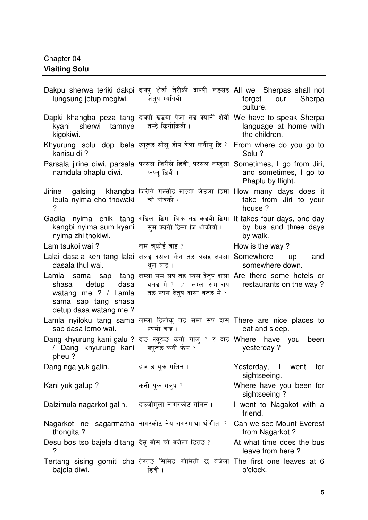### Chapter 04 **Visiting Solu**

| lungsung jetup megiwi. जेतुप म्यगिवी।                             | Dakpu sherwa teriki dakpi दाक्य शेर्वा तेरीकी दाक्यी लुड़सड़ All we Sherpas shall not                                                                                                                | forget our Sherpa<br>culture.                 |
|-------------------------------------------------------------------|------------------------------------------------------------------------------------------------------------------------------------------------------------------------------------------------------|-----------------------------------------------|
| kyani sherwi tamnye तम्डे किगोकिवी।<br>kigokiwi.                  | Dapki khangba peza tang दाक्षी खड़बा पेजा तड़ क्यानी शेर्वी We have to speak Sherpa                                                                                                                  | language at home with<br>the children.        |
| kanisu di?                                                        | Khyurung solu dop bela ख्यूरूड़ सोल् डोप बेला कनीस् डि? From where do you go to                                                                                                                      | Solu?                                         |
| namdula phaplu diwi. कप्लु डिवी।                                  | Parsala jirine diwi, parsala परसल जिरीले डिवी, परसल नम्डुला Sometimes, I go from Jiri,                                                                                                               | and sometimes, I go to<br>Phaplu by flight.   |
| leula nyima cho thowaki चो थोवकी ?                                | Jirine galsing khangba जिरीने गल्सीड खड़बा लेउला डिमा How many days does it                                                                                                                          | take from Jiri to your<br>house ?             |
| nyima zhi thokiwi.                                                | Gadila nyima chik tang गडिला डिमा चिक तड़ कड़बी डिमा It takes four days, one day<br>kangbi nyima sum kyani     सुम क्यनी डिमा जि थोकीवी ।                                                            | by bus and three days<br>by walk.             |
|                                                                   | Lam tsukoi wai ?                         लम चुकोई वाइ ?                       How is the way ?                                                                                                       |                                               |
| dasala thul wai.                                                  | Lalai dasala ken tang lalai ललइ दसला केन तङ ललइ दसला Somewhere up and<br>थुल वाइ।                                                                                                                    | somewhere down.                               |
| sama sap tang shasa<br>detup dasa watang me?                      | Lamla sama sap tang लम्ला सम सप तङ स्यस देतुप दासा Are there some hotels or<br>shasa detup dasa बतड़ में ? / लम्ला सम सप restaurants on the way?<br>watang me ? / Lamla तङ स्यस देतुप दासा वतङ में ? |                                               |
|                                                                   | Lamla nyiloku tang sama लम्ला डिलोकु तङ समा सप दास There are nice places to                                                                                                                          | eat and sleep.                                |
| pheu?                                                             | Dang khyurung kani galu ? दाङ ख्यूरूङ कनी गालु ? र दाङ Where have you been<br>/ Dang khyurung kani   ख्यूरूड कनी फेउ ?                                                                               | yesterday?                                    |
| Dang nga yuk galin.                                               | दाङ ङ युक गलिन ।                                                                                                                                                                                     | Yesterday, I went<br>for<br>sightseeing.      |
| Kani yuk galup?                                                   | कनी युक गलुप ?                                                                                                                                                                                       | Where have you been for<br>sightseeing?       |
| Dalzimula nagarkot galin.                                         | दाल्जीमुला नागरकोट गलिन ।                                                                                                                                                                            | I went to Nagakot with a<br>friend.           |
| Nagarkot ne sagarmatha नागरकोट नेय सगरमाथा थोंगीता ?<br>thongita? |                                                                                                                                                                                                      | Can we see Mount Everest<br>from Nagarkot?    |
| Desu bos tso bajela ditang देसु बोस चो बजेला डितड?                |                                                                                                                                                                                                      | At what time does the bus<br>leave from here? |
| bajela diwi.                                                      | Tertang sising gomiti cha तेरतङ सिसिङ गोमिती छ बजेला The first one leaves at 6<br>डिवी ।                                                                                                             | o'clock.                                      |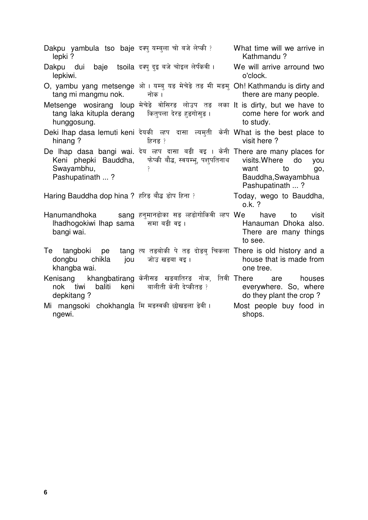Dakpu yambula tso baje दक्यु यम्बुला चो बजे लेप्की lepki ? What time will we arrive in Kathmandu ? Dakpu dui baie lepkiwi. tsoila दक्प दइ बजे चोइल लेपीकवी। We will arrive arround two o'clock. O, yambu yang metsenge ओ । यम्बु यङ मेचेङे तङ मी मङमु Oh! Kathmandu is dirty and tang mi mangmu nok. नोक । there are many people. Metsenge wosirang loup मेचेडे वोसिरड लोउप तड लका It is dirty, but we have to tang laka kitupla derang hunggosung. कितुपला देरङ हुङगोसुङ <mark>।</mark> come here for work and to study. Deki lhap dasa lemuti keni देयकी ल्हप दासा ल्यमुती केनी What is the best place to hinang ? दिनंड ? visit here ? De lhap dasa bangi wai. देय ल्हप दासा बड़ी वइ । केनी There are many places for Keni phepki Bauddha, Swayambhu, Pashupatinath ... ? फेप्की बौद्ध, स्वयम्भू, पशुपतिनाथ $\;$  $\overline{\phantom{a}}$ visits.Where do you want to go, Bauddha,Swayambhua Pashupatinath ... ? Haring Bauddha dop hina ? हरिङ बौद्ध डोप हिना ? Today, wego to Bauddha, o.k. ? Hanumandhoka lhadhogokiwi lhap sama bangi wai. हनुमानढोका सङ ल्हढोगोकिवी <mark>ल्हप</mark> समा बड़ी वड़। have to visit Hanauman Dhoka also. There are many things to see. Te tangboki pe dongbu chikla jou khangba wai. त्य तड़बोकी पे तड़ दोड़बु चिकला There is old history and <mark>a</mark> जोउ खङबा वइ । house that is made from one tree.  $\mathsf{Kenisang} \quad$  khangbatirang केनीसङ खडबातिरङ नोक, तिवी  $\check{\phantom{aa}}$ nok tiwi baliti keni depkitang ? बालीती केनी देप्कीतङ ? are houses everywhere. So, where do they plant the crop ? Mi mangsoki chokhangla मि म<mark>ङस्वर्क</mark> ngewi. Most people buy food in shops.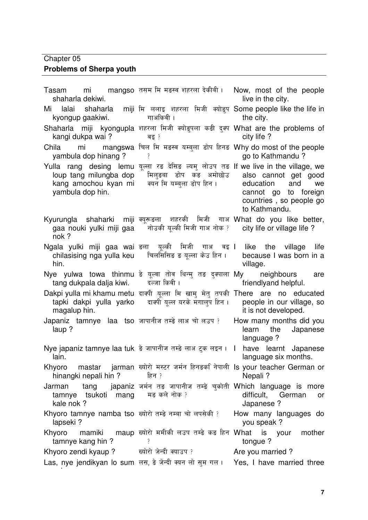### Chapter 05

## **Problems of Sherpa youth**

| Tasam<br>shaharla dekiwi.                                           | mi and mangso तसम मि मडस्व शहरला देकीवी । Now, most of the people                                                                                                                                 | live in the city.                                                                                                  |
|---------------------------------------------------------------------|---------------------------------------------------------------------------------------------------------------------------------------------------------------------------------------------------|--------------------------------------------------------------------------------------------------------------------|
| kyongup gaakiwi.                                                    | Mi lalai shaharla miji मि ललाइ शहरला मिजी क्योङ्प Some people like the life in<br>गाअकिवी ।                                                                                                       | the city.                                                                                                          |
| kangi dukpa wai?                                                    | Shaharla miji kyongupla शहरला मिजी क्योडुपला कड़ी दुक्प What are the problems of<br>वड़ ?                                                                                                         | city life ?                                                                                                        |
| yambula dop hinang?                                                 | Chila mi mangswa चिल मि मङस्व यम्बुला डोप हिनड Why do most of the people                                                                                                                          | go to Kathmandu?                                                                                                   |
| yambula dop hin.                                                    | Yulla rang desing lemu यूल्ला रङ देसिङ ल्यमु लोउप तङ If we live in the village, we<br>loup tang milungba dop     मिल्डबा   डोप   कड   अमोछोउ<br>kang amochou kyan mi    क्यन मि यम्बुला डोप हिन । | also cannot get good<br>education<br>and<br>we<br>cannot go to foreign<br>countries, so people go<br>to Kathmandu. |
| nok?                                                                | Kyurungla shaharki miji क्यूरूडला शहरकी मिजी गाअ What do you like better,<br>gaa nouki yulki miji gaa    नोउकी यूल्की मिजी गाअ नोक ?                                                              | city life or village life?                                                                                         |
| hin.                                                                | Ngala yulki miji gaa wai इला  यूल्की  मिजी  गाअ  वइ I  like  the  village  life<br>chilasising nga yulla keu विलसिसिङ ड यूल्ला केउ हिन। because I was born in a                                   | village.                                                                                                           |
| tang dukpala dalja kiwi. दल्जा किवी।                                | Nye yulwa towa thinmu ङे यूल्वा तोव थिन्मु तङ दुक्पाला My   neighbours   are                                                                                                                      | friendlyand helpful.                                                                                               |
| magalup hin.                                                        | Dakpi yulla mi khamu metu दाक्षी यूल्ला मि खामु मेतु तपकी There are no educated<br>tapki dakpi yulla yarko दाक्ष्पी यूल्ल यरके मगालप हिन ।                                                        | people in our village, so<br>it is not developed.                                                                  |
| Japaniz tamnye laa tso जापानीज तम्डे लाअ चो लउप ?<br>laup?          |                                                                                                                                                                                                   | How many months did you<br>the<br>Japanese<br>learn<br>language ?                                                  |
| Nye japaniz tamnye laa tuk  ङे जापानीज तम्ङे लाअ टुक लइन ।<br>lain. |                                                                                                                                                                                                   | have learnt Japanese<br>$\mathbf{I}$<br>language six months.                                                       |
| hinangki nepali hin?                                                | हिन ?                                                                                                                                                                                             | Khyoro     mastar     jarman  ख्योरो  मस्टर  जर्मन  हिनडक $\hat{ }$ नेपाली  Is your teacher German or<br>Nepali?   |
| Jarman<br>tamnye tsukoti mang मड़ कले नोक ?<br>kale nok?            | tang japaniz जर्मन तड़ जापानीज तम्डे चुकोती Which language is more                                                                                                                                | difficult, German<br>or -<br>Japanese?                                                                             |
| Khyoro tamnye namba tso ख्योरो तम्ङे नम्बा चो लपसेकी ?<br>lapseki?  |                                                                                                                                                                                                   | How many languages do<br>you speak?                                                                                |
| Khyoro<br>tamnye kang hin?                                          | mamiki    maup ख्योरो ममीकी लउप तम्ङे कङ हिन What   is   your   mother                                                                                                                            | tongue ?                                                                                                           |
| Khyoro zendi kyaup ?             ख्योरो जेन्दी क्याउप ?             |                                                                                                                                                                                                   | Are you married?                                                                                                   |
|                                                                     |                                                                                                                                                                                                   | Las, nye jendikyan lo sum लस, डे जेन्दी क्यन लो सुम गल। Yes, I have married three                                  |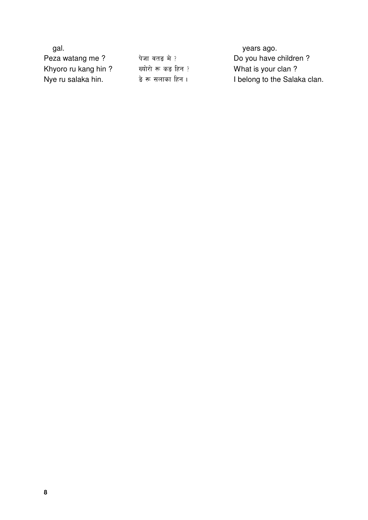| gal.                |                     | years ago.                   |
|---------------------|---------------------|------------------------------|
| Peza watang me?     | पेजा वतङ मे ?       | Do you have children?        |
| Khyoro ru kang hin? | ख्योरो रू कड़ हिन ? | What is your clan?           |
| Nye ru salaka hin.  | डे रू सलाका हिन ।   | I belong to the Salaka clan. |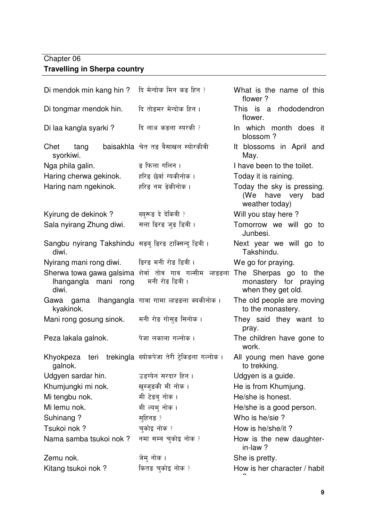### Chapter 06 **Travelling in Sherpa country**

| Di mendok min kang hin?                                        | दि मेन्दोक मिन कङ हिन ?                                                  | What is the name of this<br>flower?                                     |
|----------------------------------------------------------------|--------------------------------------------------------------------------|-------------------------------------------------------------------------|
| Di tongmar mendok hin.                                         | दि तोङमर मेन्दोक हिन ।                                                   | This is a rhododendron<br>flower.                                       |
| Di laa kangla syarki?                                          | दि लाअ कडला स्यरकी ?                                                     | In which month does it<br>blossom?                                      |
| Chet<br>tang<br>syorkiwi.                                      | baisakhla चेत तङ बैसाखल स्योरकीवी                                        | It blossoms in April and<br>May.                                        |
| Nga phila galin.                                               | ङ फिला गलिन ।                                                            | I have been to the toilet.                                              |
| Haring cherwa gekinok.                                         | हरिङ छेर्वा ग्यकीनोक ।                                                   | Today it is raining.                                                    |
| Haring nam ngekinok.                                           | हरिङ नम ङेकीनोक ।                                                        | Today the sky is pressing.<br>(We have very<br>bad<br>weather today)    |
| Kyirung de dekinok?                                            | ख्युरूड दे देकिवी ?                                                      | Will you stay here?                                                     |
| Sala nyirang Zhung diwi.                                       | सला डिरङ जुङ डिवी ।                                                      | Tomorrow we will go to<br>Junbesi.                                      |
| Sangbu nyirang Takshindu  सङबु डिरङ टाक्सिन्दु डिवी ।<br>diwi. |                                                                          | Next year we will go to<br>Takshindu.                                   |
| Nyirang mani rong diwi.                                        | डिरङ मनी रोङ डिवी ।                                                      | We go for praying.                                                      |
| Ihangangla mani rong<br>diwi.                                  | Sherwa towa gawa galsima शेर्वा तोव गाव गल्सीम ल्हडडला<br>मनी रोङ डिवी । | The Sherpas go<br>to the<br>monastery for praying<br>when they get old. |
| Gawa gama<br>kyakinok.                                         | lhangangla गावा गामा ल्हडडला क्यकीनोक।                                   | The old people are moving<br>to the monastery.                          |
| Mani rong gosung sinok.                                        | मनी रोङ गोसुङ सिनोक ।                                                    | They said they want to<br>pray.                                         |
| Peza lakala galnok.                                            | पेजा लकाला गल्नोक ।                                                      | The children have gone to<br>work.                                      |
| Khyokpeza<br>teri<br>galnok.                                   | trekingla ख्योकपेजा तेरी ट्रेकिडला गल्नोक।                               | All young men have gone<br>to trekking.                                 |
| Udgyen sardar hin.                                             | उडग्येन सरदार हिन ।                                                      | Udgyen is a guide.                                                      |
| Khumjungki mi nok.                                             | खुम्जुङकी मी नोक ।                                                       | He is from Khumjung.                                                    |
| Mi tengbu nok.                                                 | मी टेडबु नोक ।                                                           | He/she is honest.                                                       |
| Mi lemu nok.                                                   | मी ल्यमु नोक ।                                                           | He/she is a good person.                                                |
| Suhinang?                                                      | स्हिनङ ?                                                                 | Who is he/sie?                                                          |
| Tsukoi nok?                                                    | चुकोइ नोक ?                                                              | How is he/she/it?                                                       |
| Nama samba tsukoi nok?                                         | नमा सम्ब चुकोइ नोक ?                                                     | How is the new daughter-<br>in-law?                                     |
| Zemu nok.                                                      | जेम् नोक ।                                                               | She is pretty.                                                          |
| Kitang tsukoi nok?                                             | कितङ चुकोइ नोक ?                                                         | How is her character / habit                                            |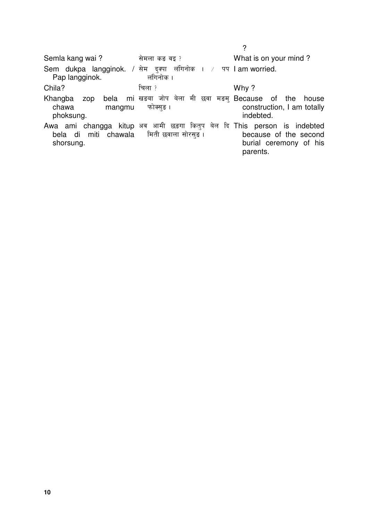|                                                |                                                                                                                  | ?                                                           |
|------------------------------------------------|------------------------------------------------------------------------------------------------------------------|-------------------------------------------------------------|
| Semla kang wai?                                | सेमला कङ वइ ?                                                                                                    | What is on your mind?                                       |
| Sem dukpa langginok. / सेम<br>Pap langginok.   | लंगिनोक । / पप lam worried.<br>दक्पा<br>लंगिनोक ।                                                                |                                                             |
| Chila?                                         | चिला ?                                                                                                           | Why?                                                        |
| Khangba<br>zop<br>chawa<br>mangmu<br>phoksung. | bela mi खड़बा जोप बेला मी छवा मड़म् Because of the<br>फोक्सङ ।                                                   | house<br>construction, I am totally<br>indebted.            |
| bela di<br>shorsung.                           | Awa ami changga kitup अब आमी छड़गा कितुप बेल दि This person is indebted<br>miti   chawala     मिती छवाला सोरसङ । | because of the second<br>burial ceremony of his<br>parents. |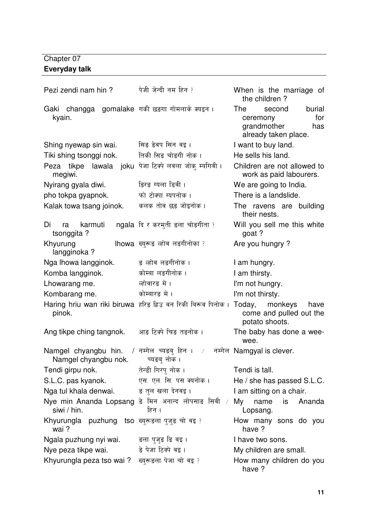### Chapter 07 **Everyday talk**

| Pezi zendi nam hin?                                                           | पेजी जेन्दी नम हिन ?                                        | When is the marriage of<br>the children?                                                 |
|-------------------------------------------------------------------------------|-------------------------------------------------------------|------------------------------------------------------------------------------------------|
| Gaki changga gomalake गकी छड़गा गोमलाके क्यइन ।<br>kyain.                     |                                                             | The<br>burial<br>second<br>for<br>ceremony<br>grandmother<br>has<br>already taken place. |
| Shing nyewap sin wai.                                                         | सिङ ङेवप सिन वइ ।                                           | I want to buy land.                                                                      |
| Tiki shing tsonggi nok.                                                       | तिकी सिङ चोङगी नोक ।                                        | He sells his land.                                                                       |
| Peza tikpe lawala joku<br>megiwi.                                             | पेजा टिक्पे लवला जोक् म्यगिवी ।                             | Children are not allowed to<br>work as paid labourers.                                   |
| Nyirang gyala diwi.                                                           | <i>डिरड ग्यला डिवी ।</i>                                    | We are going to India.                                                                   |
| pho tokpa gyapnok.                                                            | फो टोक्पा ग्यपनोक ।                                         | There is a landslide.                                                                    |
| Kalak towa tsang joinok.                                                      | कलक तोव छड़ जोइनोक ।                                        | The ravens are building<br>their nests.                                                  |
| Di<br>karmuti<br>ra<br>tsonggita?                                             | ngala दि र करमुती डला चोडगीता ?                             | Will you sell me this white<br>goat ?                                                    |
| Khyurung<br>langginoka?                                                       | lhowa ख्युरूङ ल्होव लङगीनोका ?                              | Are you hungry?                                                                          |
| Nga Ihowa langginok.                                                          | ङ ल्होव लङगीनोक ।                                           | I am hungry.                                                                             |
| Komba langginok.                                                              | कोम्बा लङगीनोक।                                             | I am thirsty.                                                                            |
| Lhowarang me.                                                                 | ल्होवारङ मे ।                                               | I'm not hungry.                                                                          |
| Kombarang me.                                                                 | कोम्बारङ मे ।                                               | I'm not thirsty.                                                                         |
| pinok.                                                                        | Haring hriu wan riki biruwa हरिङ ह्रिउ वन रिकी बिरूव पिनोक। | Today, monkeys<br>have<br>come and pulled out the<br>potato shoots.                      |
| Ang tikpe ching tangnok.                                                      | आङ टिक्पे चिङ तङनोक ।                                       | The baby has done a wee-<br>wee.                                                         |
| Namgel chyangbu hin. / नमोल च्यड़बु हिन ।<br>Namgel chyangbu nok. च्यडब् नोक। | $\sqrt{2}$                                                  | नम्गेल Namgyal is clever.                                                                |
| Tendi girpu nok.                                                              | तेन्डी गिरपु नोक ।                                          | Tendi is tall.                                                                           |
| S.L.C. pas kyanok.                                                            | एस. एल. सि. पस क्यनोक ।                                     | He / she has passed S.L.C.                                                               |
| Nga tul khala denwai.                                                         | ङ तुल खला देनवइ ।                                           | I am sitting on a chair.                                                                 |
| Nye min Ananda Lopsang डे मिन अनान्द लोपसाङ सिवी<br>siwi / hin.               | $\overline{\phantom{a}}$<br>हिन ।                           | My<br>is<br>Ananda<br>name<br>Lopsang.                                                   |
| Khyurungla puzhung tso ख्युरूडला पुजुङ चो वइ?<br>wai?                         |                                                             | How many sons do you<br>have ?                                                           |
| Ngala puzhung nyi wai.                                                        | ङला पुजुङ <b>ङि वइ</b> ।                                    | I have two sons.                                                                         |
| Nye peza tikpe wai.                                                           | ङे पेजा टिक्पे वइ ।                                         | My children are small.                                                                   |
| Khyurungla peza tso wai?                                                      | ख्युरूड़ला पेजा चो वइ?                                      | How many children do you<br>have ?                                                       |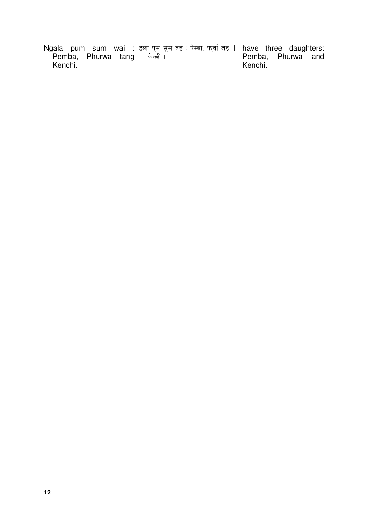Ngala pum sum wai : Pemba, Phurwa tang Kenchi. <mark>डला पुम सुम वइ : पेम्बा, फुर्वा</mark> तङ केन्छी । I have three daughters: Pemba, Phurwa and Kenchi.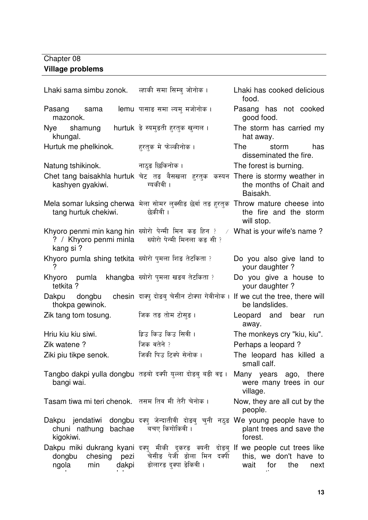### Chapter 08 **Village problems**

ngolarang dukpa

| Lhaki sama simbu zonok. ल्हाकी समा सिम्ब जोनोक।                           |                                                                                                                                           | Lhaki has cooked delicious<br>food.                         |
|---------------------------------------------------------------------------|-------------------------------------------------------------------------------------------------------------------------------------------|-------------------------------------------------------------|
| Pasang sama<br>mazonok.                                                   | lemu पासाङ समा ल्यम् मजोनोक ।                                                                                                             | Pasang has not cooked<br>good food.                         |
| Nye shamung<br>khungal.                                                   | hurtuk डे स्यमुडती हरतक खुन्गल।                                                                                                           | The storm has carried my<br>hat away.                       |
| Hurtuk me phelkinok.                                                      | हरतक मे फेल्कीनोक ।                                                                                                                       | <b>The</b><br>storm has<br>disseminated the fire.           |
| Natung tshikinok. बादुङ छिकिनोक।                                          |                                                                                                                                           | The forest is burning.                                      |
| kashyen gyakiwi.                                                          | Chet tang baisakhla hurtuk चेट तड़ बैसखला हुरतुक कस्यन There is stormy weather in<br>ग्यकीवी ।                                            | the months of Chait and<br>Baisakh.                         |
| tang hurtuk chekiwi.                                                      | Mela somar luksing cherwa  मेला सोमर लुक्सीङ छेर्वा तङ हुरतुक  Throw mature  cheese  into<br>छेकीवी ।                                     | the fire and the storm<br>will stop.                        |
| ? / Khyoro penmi minla<br>kang si?                                        | Khyoro penmi min kang hin ख्योरो पेन्मी मिन कड़ हिन ? / What is your wife's name ?<br>ख्योरो पेन्मी मिनला कड़ सी ?                        |                                                             |
| Khyoro pumla shing tetkita ख्योरो पुमला शिङ तेटकिता ?                     |                                                                                                                                           | Do you also give land to<br>your daughter?                  |
| Khyoro pumla khangba ख्योरो पुमला खड़ब तेटकिता ?<br>tetkita ?             |                                                                                                                                           | Do you give a house to<br>your daughter?                    |
| Dakpu<br>thokpa gewinok.                                                  | dongbu chesin दाक्पु दोड़बु चेसीन टोक्पा गेवीनोक ।                                                                                        | If we cut the tree, there will<br>be landslides.            |
| Zik tang tom tosung.                                                      | जिक तङ तोम टोसुङ ।                                                                                                                        | Leopard and bear run<br>away.                               |
| Hriu kiu kiu siwi.                                                        | ह्रिउ किउ किउ सिवी ।                                                                                                                      | The monkeys cry "kiu, kiu".                                 |
| Zik watene?                                                               | जिक वतेने ?                                                                                                                               | Perhaps a leopard?                                          |
| Ziki piu tikpe senok.                                                     | जिकी पिउ टिक्पे सेनोक ।                                                                                                                   | The leopard has killed a<br>small calf.                     |
| Tangbo dakpi yulla dongbu  तङबो दक्षी युल्ला दोङबु बङी वइ ।<br>bangi wai. |                                                                                                                                           | Many years ago, there<br>were many trees in our<br>village. |
| Tasam tiwa mi teri chenok. तसम तिब मी तेरी चेनोक।                         |                                                                                                                                           | Now, they are all cut by the<br>people.                     |
| Dakpu jendatiwi<br>bachae<br>chuni nathung<br>kigokiwi.                   | dongbu दक्ष् जेन्दातीवी दोड़बु चुनी नठुड We young people have to<br>बचए किगोकिवी ।                                                        | plant trees and save the<br>forest.                         |
| chesing<br>pezi<br>dongbu<br>dakpi<br>ngola<br>min                        | Dakpu miki dukrang kyani दक्यु मीकी दुकरङ क्यनी दोड़बु If we people cut trees like<br>चेसीङ पेजी डोला मिन दक्पी<br>डोलारङ दुक्पा डेकिवी । | this, we don't have to<br>wait<br>for<br>the<br>next        |

generation; we may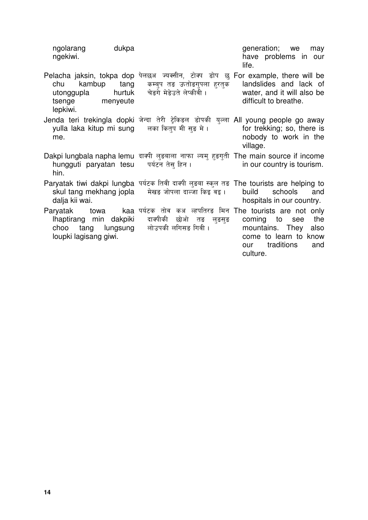| ngolarang<br>ngekiwi.                                                       | dukpa                      |                                                                                                                                           | generation; we<br>may<br>have problems in our<br>life.                                                              |
|-----------------------------------------------------------------------------|----------------------------|-------------------------------------------------------------------------------------------------------------------------------------------|---------------------------------------------------------------------------------------------------------------------|
| kambup<br>chu<br>utonggupla<br>tsenge<br>lepkiwi.                           | tang<br>hurtuk<br>menyeute | Pelacha jaksin, tokpa dop पेलछअ ज्यक्सीन, टोक्प डोप छ For example, there will be<br>कम्बुप तङ ऊतोङगुपला हरतुक<br>चेड़गे मेडेउते लेप्कीवी। | landslides and lack of<br>water, and it will also be<br>difficult to breathe.                                       |
| me.                                                                         |                            | Jenda teri trekingla dopki जेन्दा तेरी ट्रेकिडल डोपकी युल्ला All young people go away<br>yulla laka kitup mi sung तिका कितुप मी सुङ मे ।  | for trekking; so, there is<br>nobody to work in the<br>village.                                                     |
| hin.                                                                        |                            | Dakpi lungbala napha lemu दाक्षी लुड़बाला नाफा ल्यमु हुड़गुती The main source if income<br>hungguti paryatan tesu पर्यटन तेस हिन।         | in our country is tourism.                                                                                          |
| skul tang mekhang jopla<br>dalja kii wai.                                   |                            | Paryatak tiwi dakpi lungba पर्यटक तिवी दाक्षी लुड़बा स्कूल तड़ The tourists are helping to<br>मेखङ जोपला दाल्जा किइ वइ ।                  | build<br>schools<br>and<br>hospitals in our country.                                                                |
| Paryatak<br>lhaptirang min dakpiki<br>choo<br>tang<br>loupki lagisang giwi. |                            | towa      kaa पर्यटक तोव कअ ल्हपतिरङ मिन The tourists are not only<br>दाक्पीकी<br>छोओ<br>तङ लुङसुङ<br>lungsung लोउपकी लगिसङ गिवी।         | the<br>coming to<br>see<br>mountains. They<br>also<br>come to learn to know<br>traditions<br>and<br>our<br>culture. |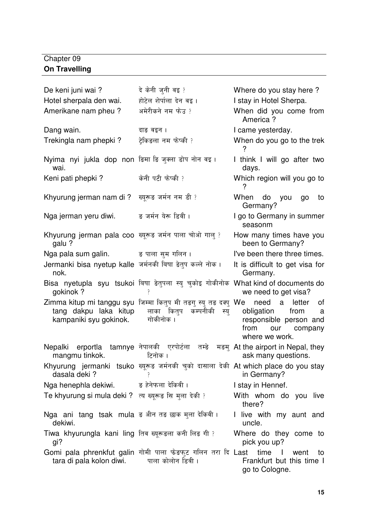### Chapter 09 **On Travelling**

| De keni juni wai?                                                | दे केनी जुनी वइ?                                                                                                         | Where do you stay here?                                                                                                    |
|------------------------------------------------------------------|--------------------------------------------------------------------------------------------------------------------------|----------------------------------------------------------------------------------------------------------------------------|
| Hotel sherpala den wai.                                          | होटेल शेर्पाला देन वइ।                                                                                                   | I stay in Hotel Sherpa.                                                                                                    |
| Amerikane nam pheu?                                              | अमेरीकने नम फेउ ?                                                                                                        | When did you come from<br>America?                                                                                         |
| Dang wain.                                                       | दाङ वइन ।                                                                                                                | I came yesterday.                                                                                                          |
| Trekingla nam phepki?                                            | टेकिङला नम फेप्की ?                                                                                                      | When do you go to the trek                                                                                                 |
| Nyima nyi jukla dop non डिमा डि जुक्ला डोप नोन वइ ।<br>wai.      |                                                                                                                          | I think I will go after two<br>days.                                                                                       |
| Keni pati phepki?                                                | केनी पटी फेप्की ?                                                                                                        | Which region will you go to<br>?                                                                                           |
| Khyurung jerman nam di ?                                         | ख्युरूङ जर्मन नम डी ?                                                                                                    | When do you<br>go<br>to<br>Germany?                                                                                        |
| Nga jerman yeru diwi.                                            | ङ जर्मन येरू डिवी ।                                                                                                      | I go to Germany in summer<br>seasonm                                                                                       |
| Khyurung jerman pala coo ख्यूरूड जर्मन पाला चोओ गाल् ?<br>galu?  |                                                                                                                          | How many times have you<br>been to Germany?                                                                                |
| Nga pala sum galin. = = ड पाला सुम गलिन।                         |                                                                                                                          | I've been there three times.                                                                                               |
| Jermanki bisa nyetup kalle जर्मनकी बिषा डेतुप कल्ले नोक।<br>nok. |                                                                                                                          | It is difficult to get visa for<br>Germany.                                                                                |
| gokinok?                                                         | Bisa nyetupla syu tsukoi बिषा डेतुपला स्यु चुकोइ गोकीनोक What kind of documents do                                       | we need to get visa?                                                                                                       |
| tang dakpu laka kitup<br>kampaniki syu gokinok.                  | Zimma kitup mi tanggu syu जिम्मा कितुप मी तड़गु स्यु तड़ दक्यु We<br>कम्पनीकी<br>लाका कित् <b>प</b><br>स्य्<br>गोकीनोक । | need<br>a<br>letter<br>οf<br>obligation<br>from<br>a<br>responsible person and<br>from<br>our<br>company<br>where we work. |
| erportla<br>Nepalki<br>mangmu tinkok.                            | tamnye नेपालकी  एरपोर्टला  तम्ङे<br>टिनोक ।                                                                              | मङम् At the airport in Nepal, they<br>ask many questions.                                                                  |
| dasala deki?                                                     | Khyurung jermanki tsuko ख्यूरूड जर्मनकी चुको दासाला देकी At which place do you stay                                      | in Germany?                                                                                                                |
| Nga henephla dekiwi.                                             | ङ हेनेफला देकिवी ।                                                                                                       | I stay in Hennef.                                                                                                          |
| Te khyurung si mula deki ? त्य ख्यूरूड़ सि मुला देकी ?           |                                                                                                                          | With whom do you live<br>there?                                                                                            |
| Nga ani tang tsak mula ड श्रीन तड छाक मुला देकियी।<br>dekiwi.    |                                                                                                                          | I live with my aunt and<br>uncle.                                                                                          |
| Tiwa khyurungla kani ling तिव ख्यूरूडला कनी लिड गी ?<br>gi?      |                                                                                                                          | Where do they come to<br>pick you up?                                                                                      |
| tara di pala kolon diwi.                                         | Gomi pala phrenkfut galin गोमी पाला फेड़फुट गलिन तरा दि Last<br>पाला कोलोन डिवी ।                                        | time<br>$\Box$<br>went<br>to<br>Frankfurt but this time I<br>go to Cologne.                                                |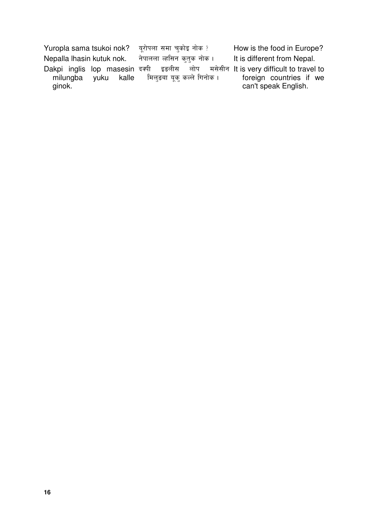Yuropla sama tsukoi nok? -रोपला समा चुको<mark>इ</mark> नोक How is the food in Europe? Nepalla lhasin kutuk nok.  तुक नो<mark>क</mark> It is different from Nepal. Dakpi inglis lop masesin दक्षी<br>milungba yuku kalle मि milungba ginok. दक्षी इडलीस लोप मसेसीन It is very difficult to travel to मिलुङबा यूकु कल्ले गिनोक । foreign countries if we can't speak English.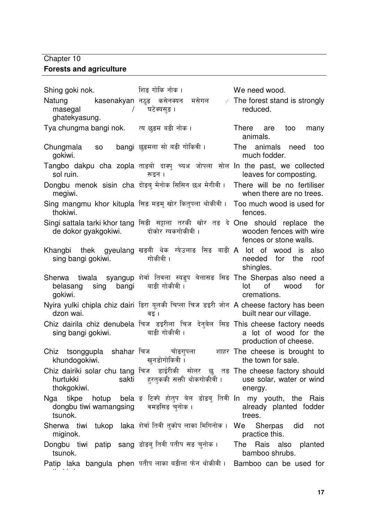#### Chapter 10 **Forests and agriculture**

Shing goki nok. शिङ गोकि नोक। We need wood.  $N$ atung $\hskip1.6cm$ kasenakyan नठुङ कसेनक्यन मसेगल  $\times$ masegal / ghatekyasung. घटेक्यस<mark>ु</mark>ङ ।  $\angle$  The forest stand is strongly reduced. Tya chungma bangi nok. त्य छड़म बड़ी नोक। There are too many animals. Chungmala so gokiwi. bangi छड़मला सो बड़ी गोकिवी। The animals need too much fodder. Tangbo dakpu cha zopla ताड़बो दाक्यु च्यअ जोपला सोल In the past, we collected sol ruin. रूडन । leaves for composting. Dongbu menok sisin cha दोड़बु मेनोक megiwi. There will be no fertiliser when there are no trees. Sing mangmu khor kitupla सिङ मङमु खोर कितुपला थोर्क thokiwi. Too much wood is used for fences. Singi sattala tarki khor tang सिङी सट्टाला तरकी खोर तङ दे One should replace the de dokor gyakgokiwi. दोकोर ग्यकगोक<mark>ी</mark>वी । wooden fences with wire fences or stone walls. Khangbi thek gyeulang खडबी थेक ग्येउलाङ सिङ बाङी A lot of wood is also sing bangi gokiwi. गोकीवी । needed for the roof shingles. Sherwa tiwala syangup शेर्वा तिवला स्यङुप बेलासङ सिङ The Sherpas also need a belasang sing bangi gokiwi. बाङी गो<mark>कीवी</mark> । lot of wood for cremations. Nyira yulki chipla chiz dairi डिरा यूलकी चिप्ला चिज डइरी जोन A cheese factory has been dzon wai. वड़ । built near our village. Chiz dairila chiz denubela चिज डइरीला चिज देनुबेल सिङ This cheese factory needs sing bangi gokiwi. बाङी गो<mark>कीवी</mark> । a lot of wood for the production of cheese. Chiz tsonggupla shahar चिज khundogokiwi. चोङगपला खुनडोगोकिवी <mark>।</mark> शाहर The cheese is brought to the town for sale. Chiz dairiki solar chu tang चिज डाईरीकी सोलर छु तङ The cheese factory should hurtukki sakti thokgokiwi. हुरतुककी सक्ती थोकगोक<mark>ी</mark>वी । use solar, water or wind energy. Nga tikpe hotup dongbu tiwi wamangsing tsunok. ड टिक्पे होतुप बेल डोडबु तिवी <mark>In my youth, the Rais</mark> वमङसिङ च<mark>ु</mark>नोक । already planted fodder trees.  $Sher$ wa tiwi tukop laka शेर्वा $\bar{f}$ तिवी तुकोप लाका $\bar{f}$ मगिनोक miginok. We Sherpas did not practice this. Dongbu tiwi patip sang डोडबु तिवी पतीप सड चुनोक tsunok. The Rais also planted bamboo shrubs. Patip laka bangula phen पतीप लाका बड़ीला फेन थोर्क thokiwi. Bamboo can be used for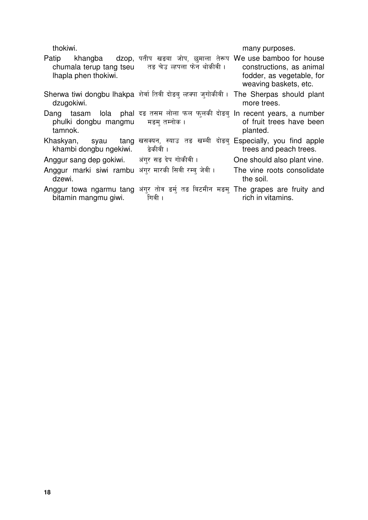| thokiwi.                                                     |                                                                                                                         | many purposes.                                                                 |
|--------------------------------------------------------------|-------------------------------------------------------------------------------------------------------------------------|--------------------------------------------------------------------------------|
| Patip<br>Ihapla phen thokiwi.                                | khangba dzop, पतीप खड़बा जोप, छमाला तेरूप We use bamboo for house<br>chumala terup tang tseu तड़ चेउ ल्हपला फेन थोकीवी। | constructions, as animal<br>fodder, as vegetable, for<br>weaving baskets, etc. |
| dzugokiwi.                                                   | Sherwa tiwi dongbu lhakpa शेर्वा तिवी दोड़ब् ल्हक्पा जुगोकीवी। The Sherpas should plant                                 | more trees.                                                                    |
| phulki dongbu mangmu मड़म् तम्नोक।<br>tamnok.                | Dang tasam lola phal दङ तसम लोला फल फुलकी दोड़बु In recent years, a number                                              | of fruit trees have been<br>planted.                                           |
| khambi dongbu ngekiwi.                                       | Khaskyan, syau tang खसक्यन, स्याउ तङ खम्बी दोड़ब् Especially, you find apple<br>डेकीवी ।                                | trees and peach trees.                                                         |
| Anggur sang dep gokiwi. अंगर सड़ देप गोकीवी।                 |                                                                                                                         | One should also plant vine.                                                    |
| Anggur marki siwi rambu अंगर मारकी सिवी रम्ब जेवी।<br>dzewi. |                                                                                                                         | The vine roots consolidate<br>the soil.                                        |
| bitamin mangmu giwi.                                         | Anggur towa ngarmu tang अंगुर तोव इर्म तङ बिटमीन मड़म् The grapes are fruity and<br>गिवी ।                              | rich in vitamins.                                                              |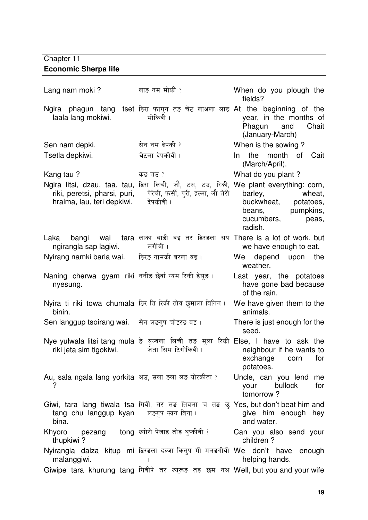### Chapter 11 **Economic Sherpa life**

| Lang nam moki?                                                     | लाङ नम मोकी ?                                                                                                                            | When do you plough the<br>fields?                                                               |
|--------------------------------------------------------------------|------------------------------------------------------------------------------------------------------------------------------------------|-------------------------------------------------------------------------------------------------|
| laala lang mokiwi.                                                 | Ngira phagun tang tset डिरा फागुन तङ चेट लाअला लाङ At the beginning of the<br>मोकिवी ।                                                   | year, in the months of<br>Phagun and<br>Chait<br>(January-March)                                |
| Sen nam depki.                                                     | सेन नम देपकी ?                                                                                                                           | When is the sowing?                                                                             |
| Tsetla depkiwi.                                                    | चेटला देपकीवी ।                                                                                                                          | the month of Cait<br>$\ln$<br>(March/April).                                                    |
| Kang tau?                                                          | कड़ तउ?                                                                                                                                  | What do you plant?                                                                              |
| riki, peretsi, pharsi, puri,<br>hralma, lau, teri depkiwi.         | Ngira litsi, dzau, taa, tau, डिरा लिची, जौ, टअ, टउ, रिकी, We plant everything: corn,<br>पेरेची, फर्सी, पुरी, इल्मा, लौ तेरी<br>देपकीवी । | wheat,<br>barley,<br>buckwheat, potatoes,<br>beans, pumpkins,<br>cucumbers,<br>peas,<br>radish. |
| Laka<br>ngirangla sap lagiwi.                                      | bangi wai tara लाका बाड़ी वइ तर डिरडला सप There is a lot of work, but<br>लगीवी ।                                                         | we have enough to eat.                                                                          |
| Nyirang namki barla wai.       ङिरङ नामकी बरला वइ ।                |                                                                                                                                          | We depend upon the<br>weather.                                                                  |
| Naning cherwa gyam riki ननीड छेर्वा ग्यम रिकी डेसड़।<br>nyesung.   |                                                                                                                                          | Last year, the potatoes<br>have gone bad because<br>of the rain.                                |
| Nyira ti riki towa chumala डिर ति रिकी तोव छमाला बिनिन ।<br>binin. |                                                                                                                                          | We have given them to the<br>animals.                                                           |
| Sen langgup tsoirang wai. सेन लडगुप चोइरङ वइ ।                     |                                                                                                                                          | There is just enough for the<br>seed.                                                           |
| riki jeta sim tigokiwi.                                            | Nye yulwala litsi tang mula डे युल्वला लिची तड़ मुला रिकी Else, I have to ask the<br>जेता सिम टिगोकिवी ।                                 | neighbour if he wants to<br>exchange corn for<br>potatoes.                                      |
| Au, sala ngala lang yorkita अउ, सला डला लड योरकीता ?               |                                                                                                                                          | Uncle, can you lend me<br>bullock<br>for<br>your<br>tomorrow?                                   |
| tang chu langgup kyan लङगुप क्यन बिना।<br>bina.                    | Giwi, tara lang tiwala tsa गिवी, तर लड़ तिवला च तड़ छु Yes, but don't beat him and                                                       | give him enough hey<br>and water.                                                               |
| Khyoro<br>thupkiwi?                                                | pezang tong ख्योरो पेजाङ तोङ थुप्कीवी ?                                                                                                  | Can you also send your<br>children?                                                             |
| malanggiwi.                                                        | Nyirangla dalza kitup mi डिरडला दल्जा कितुप मी मलङगीवी We don't have enough                                                              | helping hands.                                                                                  |
|                                                                    | Giwipe tara khurung tang गिवीपे तर ख्यूरूड तड छम नअ Well, but you and your wife                                                          |                                                                                                 |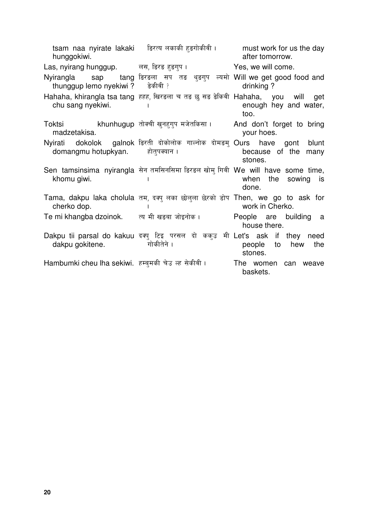| hunggokiwi.                                                  | tsam naa nyirate lakaki हिरत्य लकाकी हुड़गोकीवी । Thust work for us the day                          | after tomorrow.                       |
|--------------------------------------------------------------|------------------------------------------------------------------------------------------------------|---------------------------------------|
| Las, nyirang hunggup.          लस, डिरङ हुङगुप ।             |                                                                                                      | Yes, we will come.                    |
| thunggup lemo nyekiwi ? हेकीवी ?                             | Nyirangla sap tang डिरडला सप तड़ थुड़गुप ल्यमो Will we get good food and                             | drinking?                             |
| chu sang nyekiwi.                                            | Hahaha, khirangla tsa tang हहह, खिरङला च तङ छु सङ डेकिवी  Hahaha,    you    will     get             | enough hey and water,<br>too.         |
| madzetakisa.                                                 | Toktsi                  khunhugup  तोक्ची खुनहुगुप मजेतकिसा ।          And  don't  forget  to  bring | your hoes.                            |
| domangmu hotupkyan. होत्पक्यान ।                             | Nyirati dokolok galnok डिरती दोकोलोक गाल्नोक दोमडम् Ours have gont blunt                             | because of the many<br>stones.        |
| khomu giwi.                                                  | Sen tamsinsima nyirangla सेन तमसिनसिमा डिरडल खोमु गिवी We will have some time,                       | when the sowing is<br>done.           |
| cherko dop.                                                  | Tama, dakpu laka cholula तम, दक्यु लका छोलुला छेरको डोप Then, we go to ask for                       | work in Cherko.                       |
| Te mi khangba dzoinok.        त्य मी खडबा जोइनोक ।           |                                                                                                      | People are building a<br>house there. |
| dakpu gokitene. बाकी गोकीतेने ।                              | Dakpu tii parsal do kakuu दक्यु टिइ परसल दो ककुउ मी Let's ask if they need                           | hew<br>people to<br>the<br>stones.    |
| Hambumki cheu lha sekiwi.  हम्बुमकी चेउ <i>रू</i> ह सेकीवी । |                                                                                                      | The women can weave<br>baskets.       |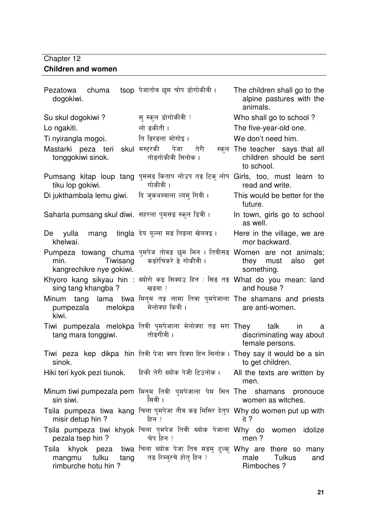### Chapter 12 **Children and women**

| chuma<br>Pezatowa<br>dogokiwi.                               | tsop पेजातोव छम चोप डोगोकीवी ।                                                                        | The children shall go to the<br>alpine pastures with the<br>animals.     |
|--------------------------------------------------------------|-------------------------------------------------------------------------------------------------------|--------------------------------------------------------------------------|
| Su skul dogokiwi?                                            | सु स्कूल डोगोकीवी ?                                                                                   | Who shall go to school?                                                  |
| Lo ngakiti.                                                  | लो ङकीती ।                                                                                            | The five-year-old one.                                                   |
| Ti nyirangla mogoi.                                          | ति डिरडला मोगोइ।                                                                                      | We don't need him.                                                       |
| Mastarki peza teri<br>tonggokiwi sinok.                      | skul मस्टरकी<br>पेजा<br>तेरी<br>तोङगोकीवी सिनोक ।                                                     | स्कूल The teacher says that all<br>children should be sent<br>to school. |
| tiku lop gokiwi.                                             | Pumsang kitap loup tang पुमसङ किताप लोउप तङ टिकु लोप Girls, too, must learn to<br>गोकीवी ।            | read and write.                                                          |
| Di jukthambala lemu giwi.     दि जुकथम्बाला ल्यम् गिवी ।     |                                                                                                       | This would be better for the<br>future.                                  |
| Saharla pumsang skul diwi.  सहरला पुमसङ स्कुल डिवी ।         |                                                                                                       | In town, girls go to school<br>as well.                                  |
| De yulla mang tingla देय युल्ला मङ तिडला खेलवइ ।<br>khelwai. |                                                                                                       | Here in the village, we are<br>mor backward.                             |
| Tiwisang<br>min.<br>kangrechikre nye gokiwi.                 | Pumpeza towang chuma पुमपेज तोवड छुम मिन । तिवीसड Women are not animals;<br>कडरेचिकरे डे गोकीवी ।     | they must<br>also<br>get<br>something.                                   |
| sing tang khangba?                                           | Khyoro kang sikyau hin : ख्योरो कड़ सिक्यउ हिन : सिङ तड़ What do you mean: land<br>खङबा ?             | and house?                                                               |
| pumpezala melokpa<br>kiwi.                                   | Minum tang lama tiwa मिनुम तङ लामा तिवा पुमपेजाला The shamans and priests<br>मेलोक्पा किवी ।          | are anti-women.                                                          |
| tang mara tonggiwi.                                          | Tiwi pumpezala melokpa तिवी पुमपेजाला मेलोक्या तङ मरा They talk<br>तोङगीवी ।                          | in<br>а<br>discriminating way about<br>female persons.                   |
| sinok.                                                       | Tiwi peza kep dikpa hin तिवी पेजा क्यप दिक्पा हिन सिनोक। They say it would be a sin                   | to get children.                                                         |
| Hiki teri kyok pezi tiunok. हिकी तेरी ख्योक पेजी टिउनोक।     |                                                                                                       | All the texts are written by<br>men.                                     |
| sin siwi.                                                    | Minum tiwi pumpezala pem मिनुम तिवी  पुमपेजाला  पेम  सिन  The   shamans   pronouce<br>सिवी ।          | women as witches.                                                        |
| misir detup hin?                                             | Tsila pumpeza tiwa kang चिला पुमपेजा तीव कड़ मिसिर देतुप Why do women put up with<br>हिन ?            | it ?                                                                     |
| pezala tsep hin ?                                            | Tsila pumpeza tiwi khyok चिला पुमपेज तिवी ख्योक पेजाला Why do women idolize<br>चेप हिन ?              | men?                                                                     |
| tulku<br>tang<br>mangmu<br>rimburche hotu hin?               | Tsila khyok peza tiwa चिला ख्योक पेजा तिव मडम् टुल्क् Why are there so many<br>तङ रिम्बरचे होत् हिन ? | Tulkus<br>male<br>and<br>Rimboches ?                                     |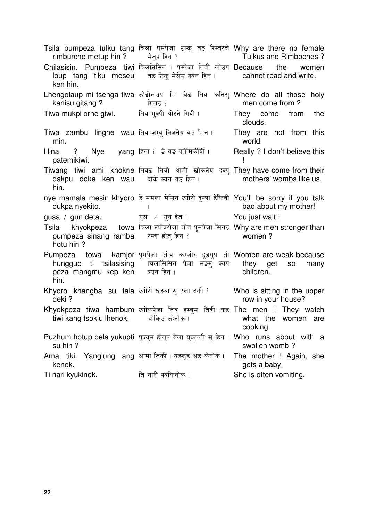| rimburche metup hin ? बेतुप हिन ?                          | Tsila pumpeza tulku tang चिला पुमपेजा टुल्कु तङ रिम्बुरचे Why are there no female                                                            | Tulkus and Rimboches?                   |
|------------------------------------------------------------|----------------------------------------------------------------------------------------------------------------------------------------------|-----------------------------------------|
| ken hin.                                                   | Chilasisin. Pumpeza tiwi चिलसिसिन । पुम्पेजा तिवी लोउप Because the<br>loup tang tiku meseu तड़ टिक मेसेउ क्यन हिन। cannot read and write.    | women                                   |
| kanisu gitang?                                             | Lhengolaup mi tsenga tiwa ल्हेडोलउप मि चेड तिब कनिसु Where do all those holy<br>ा स्थान को पातड़ ?                                           | men come from?                          |
|                                                            |                                                                                                                                              | They come from the<br>clouds.           |
| Tiwa zambu lingne wau तिब जम्बु लिङनेय वउ मिन ।<br>min.    |                                                                                                                                              | They are not from this<br>world         |
| Hina<br>patemikiwi.                                        | ? Nye yang हिना ? डे यड पतेमिकीवी ।                                                                                                          | Really ? I don't believe this           |
| hin.                                                       | Tiwang tiwi ami khokne तिवड़ तिवी आमी खोकनेय दक्सु They have come from their<br>dakpu doke ken wau दोके क्यन वउ हिन। mothers' wombs like us. |                                         |
| dukpa nyekito.                                             | nye mamala mesin khyoro डे ममला मेसिन ख्योरो दुक्पा डेकिवी You'll be sorry if you talk                                                       | bad about my mother!                    |
|                                                            |                                                                                                                                              |                                         |
|                                                            | gusa / gun deta. The सुस / गुन देत । The You just wait !                                                                                     |                                         |
| Tsila<br>pumpeza sinang ramba रम्बा होत हिन ?<br>hotu hin? | khyokpeza towa चिला ख्योकपेजा तोव पुमपेजा सिनड Why are men stronger than                                                                     | women?                                  |
| peza mangmu kep ken क्यन हिन ।<br>hin.                     | Pumpeza towa kamjor पुमपेजा तोव कम्जोर हुडगुप ती Women are weak because<br>hunggup ti tsilasising  चिलासिसिन पेजा मङमु क्यप  they  get       | <b>SO</b><br>many<br>children.          |
| deki?                                                      | Khyoro khangba su tala ख्योरो खड़बा सु टला दकी ? Who is sitting in the upper                                                                 | row in your house?                      |
|                                                            | Khyokpeza tiwa hambum ख्योकपेजा तिव हम्बुम तिवी कड़ The men ! They watch<br>tiwi kang tsokiu lhenok. बोकिउल्लेनोक। The what the women are    | cooking.                                |
| su hin?                                                    | Puzhum hotup bela yukupti पुज्यूम होतुप बेला युकुपती सु हिन । Who runs about with a                                                          | swollen womb?                           |
| Ama tiki. Yanglung ang आमा तिकी। यडलुड अड केनोक।<br>kenok. |                                                                                                                                              | The mother ! Again, she<br>gets a baby. |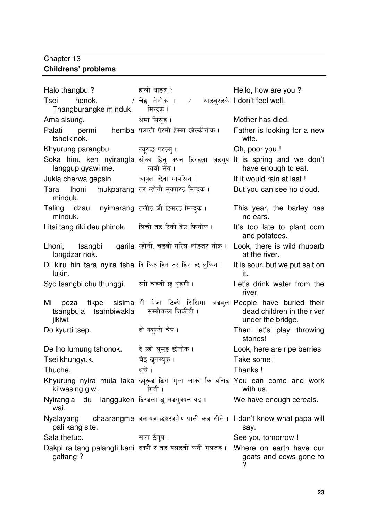### Chapter 13 **Childrens' problems**

| Halo thangbu?                                                                                       | हालो थाङब् ?                                                                            | Hello, how are you?                                                                |
|-----------------------------------------------------------------------------------------------------|-----------------------------------------------------------------------------------------|------------------------------------------------------------------------------------|
| Tsei<br>nenok.<br>Thangburangke minduk.                                                             | / चेइ नेनोक ।<br>मिन्द्क ।                                                              | $\angle$ थाङबुरङके I don't feel well.                                              |
| Ama sisung.                                                                                         | अमा सिस्ङ ।                                                                             | Mother has died.                                                                   |
| Palati<br>tsholkinok.                                                                               | permi      hemba  पलाती पेरमी हेम्बा छोल्कीनोक ।                                        | Father is looking for a new<br>wife.                                               |
| Khyurung parangbu.                                                                                  | ख्यूरूड परङब् ।                                                                         | Oh, poor you !                                                                     |
| langgup gyawi me.                                                                                   | Soka hinu ken nyirangla सोका हिनु क्यन डिरडला लङगुप<br>ग्यवी मेय ।                      | It is spring and we don't<br>have enough to eat.                                   |
| Jukla cherwa gepsin.                                                                                | ज्यूक्ला छेर्वा ग्यपसिन ।                                                               | If it would rain at last !                                                         |
| Tara lhoni mukparang तर ल्होनी मुक्पारङ मिन्दक।<br>minduk.                                          |                                                                                         | But you can see no cloud.                                                          |
| Taling dzau nyimarang तलीङ जौ डिमरङ मिन्द्क ।<br>minduk.                                            |                                                                                         | This year, the barley has<br>no ears.                                              |
| Litsi tang riki deu phinok. लिची तड़ रिकी देउ फिनोक।                                                |                                                                                         | It's too late to plant corn<br>and potatoes.                                       |
| Lhoni, tsangbi garila ल्होनी, चड़बी गरिल लोड़जर नोक।<br>longdzar nok.                               |                                                                                         | Look, there is wild rhubarb<br>at the river.                                       |
| Di kiru hin tara nyira tsha दि किरु हिन तर डिरा छ लुकिन ।<br>lukin.                                 |                                                                                         | It is sour, but we put salt on<br>it.                                              |
| Syo tsangbi chu thunggi. स्यो चड़वी छु थुइगी।                                                       |                                                                                         | Let's drink water from the<br>river!                                               |
| peza tikpe sisima मी पेजा टिक्पे सिसिमा<br>Mi<br>tsangbula tsambiwakla सम्बीवक्ल जिकीवी।<br>jikiwi. |                                                                                         | चड़बुल People have buried their<br>dead children in the river<br>under the bridge. |
| Do kyurti tsep.                                                                                     | दो क्युरटी चेप ।                                                                        | Then let's play throwing<br>stones!                                                |
| De lho lumung tshonok.                                                                              | दे ल्हो लुमुङ छोनोक ।                                                                   | Look, here are ripe berries                                                        |
| Tsei khungyuk.                                                                                      | चेइ खुनग्युक ।                                                                          | Take some !                                                                        |
| Thuche.                                                                                             | थचे ।                                                                                   | Thanks!                                                                            |
| ki wasing giwi.                                                                                     | Khyurung nyira mula laka ख्यूरूड डिरा मुला लाका कि वसिड You can come and work<br>गिवी । | with us.                                                                           |
| wai.                                                                                                | Nyirangla  du  langguken डिरडला डु लङगुक्यन वइ ।                                        | We have enough cereals.                                                            |
| pali kang site.                                                                                     | Nyalayang chaarangme डलायड छअरडमेय पाली कड सीते । I don't know what papa will           | say.                                                                               |
| Sala thetup.                                                                                        | सला ठेतुप ।                                                                             | See you tomorrow !                                                                 |
| galtang?                                                                                            | Dakpi ra tang palangti kani दक्षी र तङ पलड़ती कनी गलतङ। Where on earth have our         | goats and cows gone to                                                             |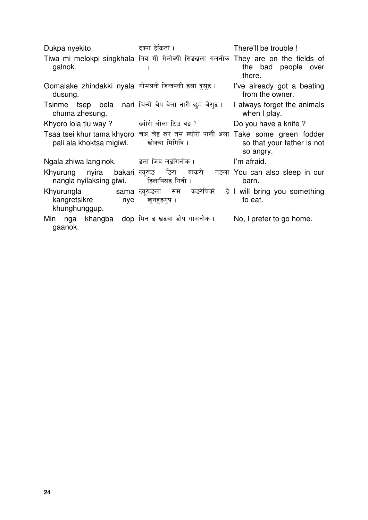Dukpa nyekito. There'll be trouble ! Tiwa mi melokpi singkhala तिव मी मेलोक्पी सिडखला गलनोक They are on the fields of  $\overline{\mathsf{I}}$ galnok. the bad people over  $\mathbf{I}$ there. Gomalake zhindakki nyala गोमलके जिन्दक्की I've already got a beating dusung. from the owner. Tsinme tsep bela nari चिन्मे चेप बेला नारी छम जेसड़। I always forget the animals chuma zhesung. when I play. Khyoro lola tiu way ?  $\qquad \qquad$  ख्योरो लोला टिउ वइ ? Do you have a knife ? Tsaa tsei khur tama khyoro चअ चेइ खुर तम ख्योरो पाली अला Take some green fodder खोक्चा मिगिवि । pali ala khoktsa migiwi. so that your father is not so angry. Ngala zhiwa langinok. = उला जिब लड़गिनोक। I'm afraid. री नडला You can also sleep in our Khyurung nyira bakari ख्यरूड ङिरा बाकर<u>ी</u> nangla nyilaksing giwi. डिलाक्सिड गिवी । barn. ख्यूरूडला सम क Khyurungla कङरेचिक्रे ड़े I will bring you something kangretsikre nye to eat. खनहङगप । khunghunggup. Min nga khangba dop मिन ङ खड़बा डोप गाअनोक । No, I prefer to go home.gaanok.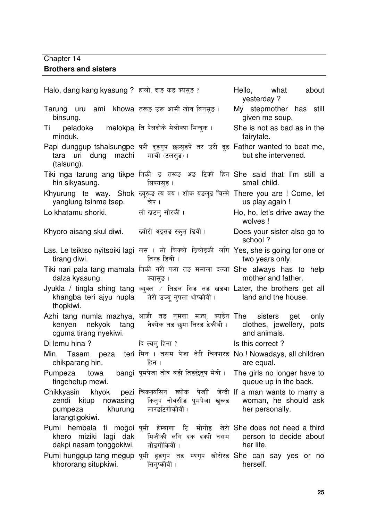### Chapter 14 **Brothers and sisters**

Halo, dang kang kyasung ? हालो, दाङ कङ क्य Hello, what about yesterday ? Tarung uru ami khowa तरूड़ उरू आमी खोव बिनसुड़। binsung. My stepmother has still given me soup. Ti peladoke minduk. ति पेलदोके मेलोक्पा मिन्दुक She is not as bad as in the fairytale. Papi dunggup tshalsungpe पपी दुङगुप छल्सुङपे तर उरी दुङ Father wanted to beat me, tara uri dung machi (talsung). माची (टलसङ) । but she intervened. Tiki nga tarung ang tikpe तिकी ड तरूड अड टिक्पे हिन She said that I'm still a hin sikyasung. सिक्यसुङ । small child. Khyurung te way. Shok ख्यूरूड त्य वय । शोक यडलुङ चिन्मे There you are ! Come, let yanglung tsinme tsep. चेप । us play again ! Lo khatamu shorki. बो खटम सोरकी। Ho, ho, let's drive away the wolves ! Khyoro aisang skul diwi. -ख्योरो अइसङ स्कल डिवी। Does your sister also go to school ? Las. Le tsiktso nyitsoiki lagi लस । लो चिक्चो डिचोइकी लगि Yes, she is going for one or tirang diwi. तिरङ डिवी । two years only. Tiki nari pala tang mamala तिकी नरी पला तङ ममाला दल्जा She always has to help dalza kyasung. क्यासुङ <mark>।</mark> mother and father. Jyukla / tingla shing tang +- ' ' Later, the brothers get all khangba teri ajyu nupla thopkiwi. तेरी उज्यू नुपला थोप्की<mark>वी</mark> । land and the house. Azhi tang numla mazhya, आजी तङ नुमला मज्य, क्यडेन kenyen nekyok tang cguma tirang nyekiwi. नेक्येक तङ छुमा तिरङ ङेकीवी <mark>।</mark> sisters get only clothes, jewellery, pots and animals. Di lemu hina ? विल्यम हिना ?  Is this correct ? Min. Tasam peza teri मिन । तसम पेजा तेरी चिक्पारङ No ! Nowadays, all children chikparang hin. हिन । are equal. Pumpeza towa tingchetup mewi. bangi पुमपेजा तोव बड़ी तिड़छेतुप मेवी। The girls no longer have to queue up in the back. Chikkyasin khyok zendi kitup nowasing pumpeza khurung larangtigokiwi. चिकक्यसिन ख्योक पेजी जेन्दी If a man wants to marry a कितुप नोवसीङ पुमपेज<mark>ा</mark> खुरूङ लारङटिगोक<mark>ी</mark>वी । woman, he should ask her personally. Pumi hembala ti mogoi पुमी हेम्बाला टि मोगोइ खेरो She does not need a third khero miziki lagi dak dakpi nasam tonggokiwi. मिजीकी लगि दक दक<mark>्</mark>पी नसम तोङगोकि<mark>वी</mark> । person to decide about her life. Pumi hunggup tang megup पुमी हुङगुप तङ म्यगुप खोरोरङ She can say yes or no khororang situpkiwi. सितुप्कीवी । herself.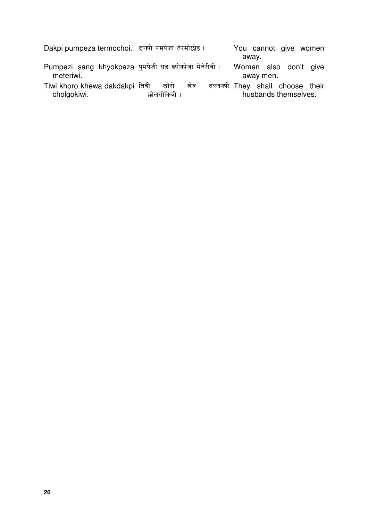| Dakpi pumpeza termochoi. दाक्षी पमपेजा तेरमोछोइ।                     |                            | You cannot give women                                   |
|----------------------------------------------------------------------|----------------------------|---------------------------------------------------------|
|                                                                      |                            | away.                                                   |
| Pumpezi sang khyokpeza पुमपेजी सड़ ख्योक्पेजा मेतेरीवी।<br>meteriwi. |                            | Women also don't give<br>away men.                      |
| Tiwi khoro khewa dakdakpi तिबी<br>cholgokiwi.                        | खोरो<br>खेव<br>छोलगोकिवी । | दकदक्षी They shall choose their<br>husbands themselves. |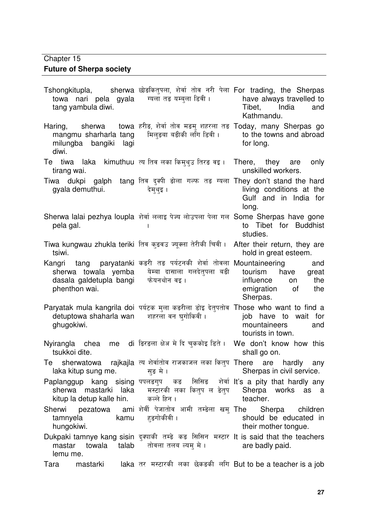### Chapter 15

## **Future of Sherpa society**

| towa nari pela gyala ग्यला तङ यम्बला डिवी।<br>tang yambula diwi.        | Tshongkitupla,      sherwa छोड़कितुपला, शेर्वा तोव नरी पेला For trading, the Sherpas                                                              | have always travelled to<br>Tibet,<br>India<br>and<br>Kathmandu.                              |
|-------------------------------------------------------------------------|---------------------------------------------------------------------------------------------------------------------------------------------------|-----------------------------------------------------------------------------------------------|
| Haring,<br>mangmu sharharla tang<br>milungba bangiki lagi<br>diwi.      | sherwa towa हरीड़, शेर्वा तोव मड़मु शहरला तड़ Today, many Sherpas go<br>मिल्ङबा बङीकी लगि डिवी ।                                                  | to the towns and abroad<br>for long.                                                          |
| Te tiwa laka kimuthuu त्य तिव लका किमुथुउ तिरङ वइ ।<br>tirang wai.      |                                                                                                                                                   | There, they are only<br>unskilled workers.                                                    |
| gyala demuthui.                                                         | Tiwa dukpi galph tang तिब दुक्षी डोला गल्फ तड़ ग्यला They don't stand the hard<br>देम्थुइ ।                                                       | living conditions at the<br>Gulf and in India for<br>long.                                    |
| pela gal.                                                               | Sherwa lalai pezhya loupla शेर्वा ललाइ पेज्य लोउपला पेला गल Some Sherpas have gone                                                                | to Tibet for Buddhist<br>studies.                                                             |
| Tiwa kungwau zhukla teriki  तिव कुड़वउ ज्यूक्ला तेरीकी चिवी ।<br>tsiwi. |                                                                                                                                                   | After their return, they are<br>hold in great esteem.                                         |
| dasala galdetupla bangi फेयनथोन वइ।<br>phenthon wai.                    | Kangri tang paryatanki कडरी तड पर्यटनकी शेर्वा तोवला Mountaineering<br>sherwa towala yemba येम्बा दासाला गलदेतपला बड़ी                            | and<br>tourism<br>have<br>great<br>influence<br>the<br>on<br>emigration of<br>the<br>Sherpas. |
| detuptowa shaharla wan शहरला वन घुगोकिवी।<br>ghugokiwi.                 | Paryatak mula kangrila doi पर्यटक मुला कडरीला डोइ देतुपतोव Those who want to find a                                                               | job have to wait for<br>mountaineers<br>and<br>tourists in town.                              |
| tsukkoi dite.                                                           | Nyirangla chea me di डिरडला क्षेअ मे दि चुककोइ डिते ।                                                                                             | We don't know how this<br>shall go on.                                                        |
| laka kitup sung me.                                                     | Te sherwatowa rajkajla त्य शेर्वातोव राजकाजल लका कितुप There are hardly any<br>सुङ मे ।                                                           | Sherpas in civil service.                                                                     |
| kitup la detup kalle hin. कल्ले हिन।                                    | Paplanggup kang sising पपलङगुप कड सिसिङ शेर्वा It's a pity that hardly any<br>sherwa mastarki laka  मस्टारकी लका कितुप ल डेतुप  Sherpa works as a | teacher.                                                                                      |
| tamnyela<br>hungokiwi.                                                  | Sherwi pezatowa ami शेर्वी पेजातोव आमी तम्डेला खम् The Sherpa children<br>kamu हङगोकीवी ।                                                         | should be educated in<br>their mother tongue.                                                 |
| towala<br>mastar<br>lemu me.                                            | Dukpaki tamnye kang sisin दुक्याकी तम्डे कड़ सिसिन मस्टार It is said that the teachers<br>talab तोवला तलब ल्यम मे ।                               | are badly paid.                                                                               |
| mastarki<br>Tara                                                        | laka तर मस्टारकी लका छेकड़की लगि But to be a teacher is a job                                                                                     |                                                                                               |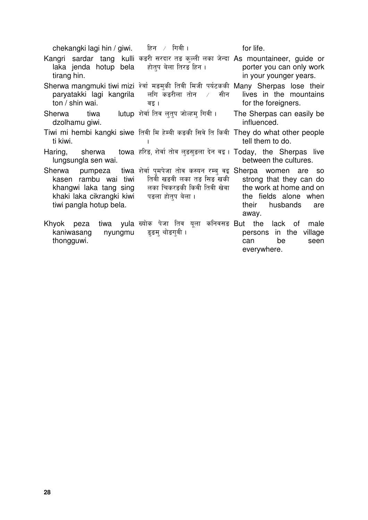chekangki lagi hin / giwi.  $\theta$ हिन / गिवी । The state for life. Kangri sardar tang kulli कडरी सरदार तङ कुल्ली लका जेन्दा As mountaineer, guide or laka jenda hotup bela होतप बेला तिरङ हिन । porter you can only work tirang hin. in your younger years. Sherwa mangmuki tiwi mizi थेर्वा मङमुकी तिवी मिजी पर्यटककी Many Sherpas lose their लगि कङरीला तोन $\rightarrow$  सीन lives in the mountains paryatakki lagi kangrila ton / shin wai. for the foreigners. वइ । Sherwa tiwa lutup शेर्वा तिव लतप जोल्हम गिवी। The Sherpas can easily be dzolhamu giwi. influenced. Tiwi mi hembi kangki siwe तिवी मि हेम्बी कड़की सिवे ति किवी They do what other people  $\overline{\mathsf{I}}$ ti kiwi. tell them to do.  $\overline{1}$ Haring, sherwa towa हरिङ, शेर्वा तोव लुङसुङला देन वइ। Today, the Sherpas live lungsungla sen wai. between the cultures. शेर्वा पुमपेजा तोव कस्यन रम्बु वइ Sherpa women are so Sherwa pumpeza kasen rambu wai tiwi तिवी खडवी लका तङ सिङ खकी strong that they can do khangwi laka tang sing लका चिकरङकी किवी तिवी खेवा the work at home and on the fields alone when khaki laka cikrangki kiwi पङला होतप बेला । tiwi pangla hotup bela. their husbands are away. ख्योक पेजा तिव यूला कनिवसङ But the lack of male Khyok peza kaniwasang nyungmu इङम् थोङगवी । persons in the village thongguwi. can be seen everywhere.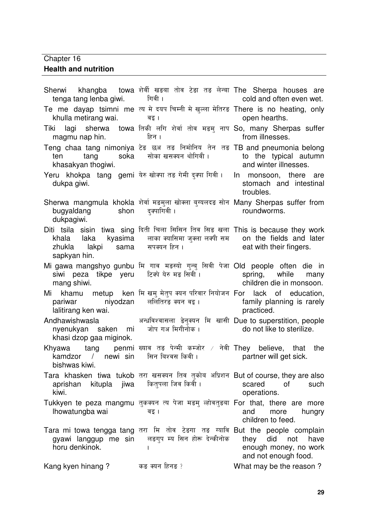# Chapter 16

### **Health and nutrition**

| tenga tang lenba giwi. ज्यानि ।                  | Sherwi khangba towa शेर्वी खड़बा तोव टेड़ा तड़ लेन्बा The Sherpa houses are                                                                                                                                                  | cold and often even wet.                                                         |
|--------------------------------------------------|------------------------------------------------------------------------------------------------------------------------------------------------------------------------------------------------------------------------------|----------------------------------------------------------------------------------|
| khulla metirang wai.                             | Te me dayap tsimni me त्य मे दयप चिम्नी मे खुल्ला मेतिरड There is no heating, only<br>वइ ।                                                                                                                                   | open hearths.                                                                    |
| magmu nap hin. ब्रिन ।                           | Tiki lagi sherwa towa तिकी लगि शेर्वा तोव मड़मु नाप So, many Sherpas suffer                                                                                                                                                  | from illnesses.                                                                  |
| ten<br>khasakyan thogiwi.                        | Teng chaa tang nimoniya टेड छअ तड निमोनिय तेन तड TB and pneumonia belong<br>tang soka सोका खसक्यन थोगिवी ।                                                                                                                   | to the typical autumn<br>and winter illnesses.                                   |
| dukpa giwi.                                      | Yeru khokpa tang gemi येरु खोक्या तङ गेमी दुक्या गिवी। In monsoon, there are                                                                                                                                                 | stomach and intestinal<br>troubles.                                              |
| bugyaldang shon दुक्पागिवी।<br>dukpagiwi.        | Sherwa mangmula khokla शेर्वा मङमुला खोक्ला बुग्यलदङ सोन Many Sherpas suffer from                                                                                                                                            | roundworms.                                                                      |
| sapkyan hin.                                     | Diti tsila sisin tiwa sing दिती चिला सिसिन तिब सिड खला This is because they work<br>khala laka kyasima लाका क्यासिमा जुक्ला लक्ष्पी सम on the fields and later<br>zhukla lakpi sama सपक्यन हिन । The eat with their fingers. |                                                                                  |
| mang shiwi.                                      | Mi gawa mangshyo gunbu मि गाव मङस्यो गुन्बु सिवी पेजा Old people often die in<br>siwi peza tikpe yeru  हिक्ये येरु मङ सिवी ।                                                                                                 | spring, while many<br>children die in monsoon.                                   |
| lalitirang ken wai.                              | Mi khamu metup ken मि खमु मेतुप क्यन परिवार नियोजन For lack of education,<br>pariwar              niyodzan      ललितिरङ क्यन वइ ।                                                                                            | family planning is rarely<br>practiced.                                          |
| khasi dzop gaa miginok.                          | nyenukyan saken mi जोप गअ मिगीनोक। do not like to sterilize.                                                                                                                                                                 | Andhawishwasla बिरुधा अन्धविश्वासला डेनुक्यन मि खासी Due to superstition, people |
| bishwas kiwi.                                    | Khyawa tang penmi ख्याव तङ पेन्मी कम्जोर / नेवी They believe, that the<br>kamdzor / newi sin सिन बिश्वस किवी। Partner will get sick.                                                                                         |                                                                                  |
| aprishan kitupla jiwa कित्पला जिब किवी।<br>kiwi. | Tara khasken tiwa tukob तरा खसक्यन तिव तुकोब अप्रिशन But of course, they are also                                                                                                                                            | scared<br>0f<br>such<br>operations.                                              |
| Ihowatungba wai                                  | Tukkyen te peza mangmu तुकक्यन त्य पेजा मडमु ल्होवतुड़बा For that, there are more<br>वइ ।                                                                                                                                    | and<br>more<br>hungry<br>children to feed.                                       |
| horu denkinok.                                   | Tara mi towa tengga tang तरा मि तोव टेडगा तड़ ग्यावि But the people complain<br>gyawi langgup me sin लडगुप म्य सिन होरू देन्कीनोक                                                                                            | they<br>did<br>have<br>not<br>enough money, no work<br>and not enough food.      |
| Kang kyen hinang?                                | कड क्यन हिनड ?                                                                                                                                                                                                               | What may be the reason?                                                          |